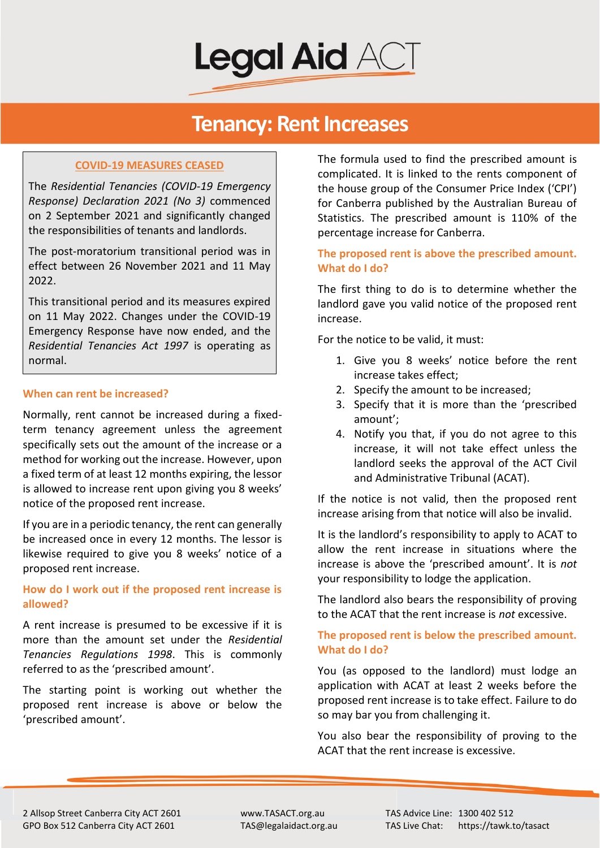

## **Tenancy: Rent Increases**

#### **COVID-19 MEASURES CEASED**

The *Residential Tenancies (COVID-19 Emergency Response) Declaration 2021 (No 3)* commenced on 2 September 2021 and significantly changed the responsibilities of tenants and landlords.

The post-moratorium transitional period was in effect between 26 November 2021 and 11 May 2022.

This transitional period and its measures expired on 11 May 2022. Changes under the COVID-19 Emergency Response have now ended, and the *Residential Tenancies Act 1997* is operating as normal.

#### **When can rent be increased?**

Normally, rent cannot be increased during a fixedterm tenancy agreement unless the agreement specifically sets out the amount of the increase or a method for working out the increase. However, upon a fixed term of at least 12 months expiring, the lessor is allowed to increase rent upon giving you 8 weeks' notice of the proposed rent increase.

If you are in a periodic tenancy, the rent can generally be increased once in every 12 months. The lessor is likewise required to give you 8 weeks' notice of a proposed rent increase.

### **How do I work out if the proposed rent increase is allowed?**

A rent increase is presumed to be excessive if it is more than the amount set under the *Residential Tenancies Regulations 1998*. This is commonly referred to as the 'prescribed amount'.

The starting point is working out whether the proposed rent increase is above or below the 'prescribed amount'.

The formula used to find the prescribed amount is complicated. It is linked to the rents component of the house group of the Consumer Price Index ('CPI') for Canberra published by the Australian Bureau of Statistics. The prescribed amount is 110% of the percentage increase for Canberra.

## **The proposed rent is above the prescribed amount. What do I do?**

The first thing to do is to determine whether the landlord gave you valid notice of the proposed rent increase.

For the notice to be valid, it must:

- 1. Give you 8 weeks' notice before the rent increase takes effect;
- 2. Specify the amount to be increased;
- 3. Specify that it is more than the 'prescribed amount';
- 4. Notify you that, if you do not agree to this increase, it will not take effect unless the landlord seeks the approval of the ACT Civil and Administrative Tribunal (ACAT).

If the notice is not valid, then the proposed rent increase arising from that notice will also be invalid.

It is the landlord's responsibility to apply to ACAT to allow the rent increase in situations where the increase is above the 'prescribed amount'. It is *not* your responsibility to lodge the application.

The landlord also bears the responsibility of proving to the ACAT that the rent increase is *not* excessive.

## **The proposed rent is below the prescribed amount. What do I do?**

You (as opposed to the landlord) must lodge an application with ACAT at least 2 weeks before the proposed rent increase is to take effect. Failure to do so may bar you from challenging it.

You also bear the responsibility of proving to the ACAT that the rent increase is excessive.